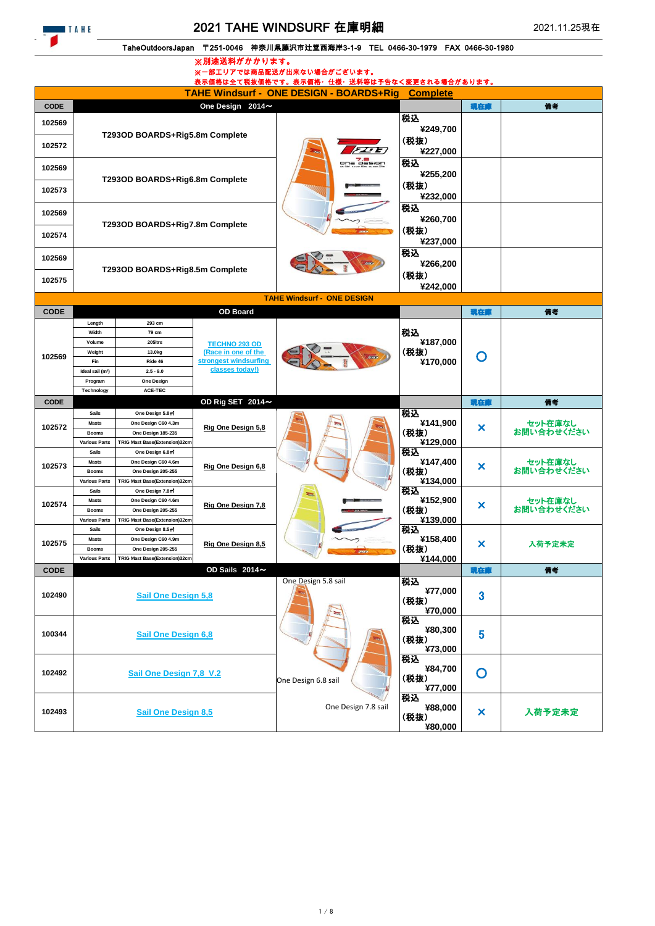## 2021 TAHE WINDSURF 在庫明細

## TaheOutdoorsJapan 〒251-0046 神奈川県藤沢市辻堂西海岸3-1-9 TEL 0466-30-1979 FAX 0466-30-1980

※別途送料がかかります。

|                                                                   | ※一部エリアでは商品配送が出来ない場合がございます。<br>表示価格は全て税抜価格です。表示価格・仕様・送料等は予告なく変更される場合があります。 |                                                  |                                                                                         |                                   |                 |                           |            |  |
|-------------------------------------------------------------------|---------------------------------------------------------------------------|--------------------------------------------------|-----------------------------------------------------------------------------------------|-----------------------------------|-----------------|---------------------------|------------|--|
| <b>TAHE Windsurf - ONE DESIGN - BOARDS+Rig</b><br><b>Complete</b> |                                                                           |                                                  |                                                                                         |                                   |                 |                           |            |  |
| <b>CODE</b>                                                       |                                                                           |                                                  | One Design 2014~                                                                        |                                   |                 | 現在庫                       | 備考         |  |
| 102569                                                            |                                                                           |                                                  |                                                                                         |                                   | 税込              |                           |            |  |
|                                                                   |                                                                           | T293OD BOARDS+Rig5.8m Complete                   |                                                                                         |                                   | ¥249,700        |                           |            |  |
| 102572                                                            |                                                                           |                                                  |                                                                                         | 72E                               | (税抜)            |                           |            |  |
|                                                                   |                                                                           |                                                  |                                                                                         | one of sign                       | ¥227,000<br>税込  |                           |            |  |
| 102569                                                            |                                                                           |                                                  |                                                                                         |                                   | ¥255,200        |                           |            |  |
|                                                                   | T293OD BOARDS+Rig6.8m Complete                                            |                                                  |                                                                                         |                                   | (税抜)            |                           |            |  |
| 102573                                                            |                                                                           |                                                  |                                                                                         |                                   | ¥232,000        |                           |            |  |
| 102569                                                            |                                                                           |                                                  |                                                                                         |                                   | 税込              |                           |            |  |
|                                                                   |                                                                           | T293OD BOARDS+Rig7.8m Complete                   |                                                                                         |                                   | ¥260,700        |                           |            |  |
| 102574                                                            |                                                                           |                                                  |                                                                                         |                                   | (税抜)            |                           |            |  |
|                                                                   |                                                                           |                                                  |                                                                                         |                                   | ¥237,000<br>税込  |                           |            |  |
| 102569                                                            |                                                                           |                                                  |                                                                                         |                                   | ¥266,200        |                           |            |  |
|                                                                   |                                                                           | T293OD BOARDS+Rig8.5m Complete                   |                                                                                         |                                   | (税抜)            |                           |            |  |
| 102575                                                            |                                                                           |                                                  |                                                                                         |                                   | ¥242,000        |                           |            |  |
|                                                                   |                                                                           |                                                  |                                                                                         | <b>TAHE Windsurf - ONE DESIGN</b> |                 |                           |            |  |
| <b>CODE</b>                                                       |                                                                           |                                                  | <b>OD Board</b>                                                                         |                                   |                 | 魂在庫                       | 備考         |  |
|                                                                   | Length                                                                    | 293 cm                                           |                                                                                         |                                   |                 |                           |            |  |
|                                                                   | Width<br>Volume                                                           | 79 cm<br>205ltrs                                 |                                                                                         |                                   | 税込<br>¥187,000  |                           |            |  |
|                                                                   | Weight                                                                    | 13.0kg                                           | <b>TECHNO 293 OD</b><br>(Race in one of the<br>stronaest windsurfina<br>classes today!) |                                   | (税抜)            |                           |            |  |
| 102569                                                            | Fin                                                                       | Ride 46                                          |                                                                                         |                                   | ¥170,000        | O                         |            |  |
|                                                                   | Ideal sail (m <sup>2</sup> )                                              | $2.5 - 9.0$                                      |                                                                                         |                                   |                 |                           |            |  |
|                                                                   | Program<br>Technology                                                     | <b>One Design</b><br>ACE-TEC                     |                                                                                         |                                   |                 |                           |            |  |
| <b>CODE</b>                                                       |                                                                           |                                                  | OD Rig SET 2014~                                                                        |                                   |                 | 現在庫                       | 備考         |  |
|                                                                   |                                                                           |                                                  |                                                                                         |                                   |                 |                           |            |  |
|                                                                   | <b>Sails</b>                                                              | One Design 5.8m                                  |                                                                                         |                                   | 税込              |                           |            |  |
| 102572                                                            | <b>Masts</b>                                                              | One Design C60 4.3m                              |                                                                                         |                                   | ¥141,900        |                           | セット在庫なし    |  |
|                                                                   | <b>Booms</b>                                                              | One Design 185-235                               | Rig One Design 5.8                                                                      |                                   | (税抜)            | ×                         | お問い合わせください |  |
|                                                                   | <b>Various Parts</b><br><b>Sails</b>                                      | TRIG Mast Base(Extension)32cm<br>One Design 6.8m |                                                                                         |                                   | ¥129,000<br>税込  |                           |            |  |
|                                                                   | <b>Masts</b>                                                              | One Design C60 4.6m                              |                                                                                         |                                   | ¥147,400        |                           | セット在庫なし    |  |
| 102573                                                            | <b>Booms</b>                                                              | One Design 205-255                               | Rig One Design 6,8                                                                      |                                   | (税抜)            | ×                         | お問い合わせください |  |
|                                                                   | <b>Various Parts</b><br>Sails                                             | TRIG Mast Base(Extension)32cm<br>One Design 7.8m |                                                                                         |                                   | ¥134,000        |                           |            |  |
|                                                                   | <b>Masts</b>                                                              | One Design C60 4.6m                              |                                                                                         |                                   | 税込<br>¥152,900  |                           | セット在庫なし    |  |
| 102574                                                            | <b>Booms</b>                                                              | One Design 205-255                               | Rig One Design 7,8                                                                      |                                   | (税抜)            | ×                         | お問い合わせください |  |
|                                                                   | <b>Various Parts</b><br><b>Sails</b>                                      | TRIG Mast Base(Extension)32cm                    |                                                                                         |                                   | ¥139,000        |                           |            |  |
|                                                                   | <b>Masts</b>                                                              | One Design 8.5m<br>One Design C60 4.9m           |                                                                                         |                                   | 税込<br>¥158,400  |                           |            |  |
| 102575                                                            | <b>Booms</b>                                                              | One Design 205-255                               | Rig One Design 8,5                                                                      |                                   | (税抜)            | ×                         | 入荷予定未定     |  |
|                                                                   | <b>Various Parts</b>                                                      | TRIG Mast Base(Extension)32cm                    |                                                                                         |                                   | ¥144,000        |                           |            |  |
| <b>CODE</b>                                                       |                                                                           |                                                  | OD Sails 2014~                                                                          |                                   |                 | 現在庫                       | 備考         |  |
|                                                                   |                                                                           |                                                  |                                                                                         | One Design 5.8 sail               | 税込<br>¥77,000   |                           |            |  |
| 102490                                                            |                                                                           | <b>Sail One Design 5.8</b>                       |                                                                                         |                                   | (税抜)            | 3                         |            |  |
|                                                                   |                                                                           |                                                  |                                                                                         |                                   | ¥70,000         |                           |            |  |
|                                                                   |                                                                           |                                                  |                                                                                         |                                   | 税込<br>¥80,300   |                           |            |  |
| 100344                                                            |                                                                           | <b>Sail One Design 6,8</b>                       |                                                                                         |                                   | (税抜)            | 5                         |            |  |
|                                                                   |                                                                           |                                                  |                                                                                         |                                   | ¥73,000         |                           |            |  |
|                                                                   |                                                                           |                                                  |                                                                                         |                                   | 税込              |                           |            |  |
| 102492                                                            |                                                                           | Sail One Design 7,8 V.2                          |                                                                                         | One Design 6.8 sail               | ¥84,700<br>(税抜) | $\mathbf O$               |            |  |
|                                                                   |                                                                           |                                                  |                                                                                         |                                   | ¥77,000         |                           |            |  |
|                                                                   |                                                                           |                                                  |                                                                                         |                                   | 税込              |                           |            |  |
| 102493                                                            |                                                                           | <b>Sail One Design 8,5</b>                       |                                                                                         | One Design 7.8 sail               | ¥88,000<br>(税抜) | $\boldsymbol{\mathsf{x}}$ | 入荷予定未定     |  |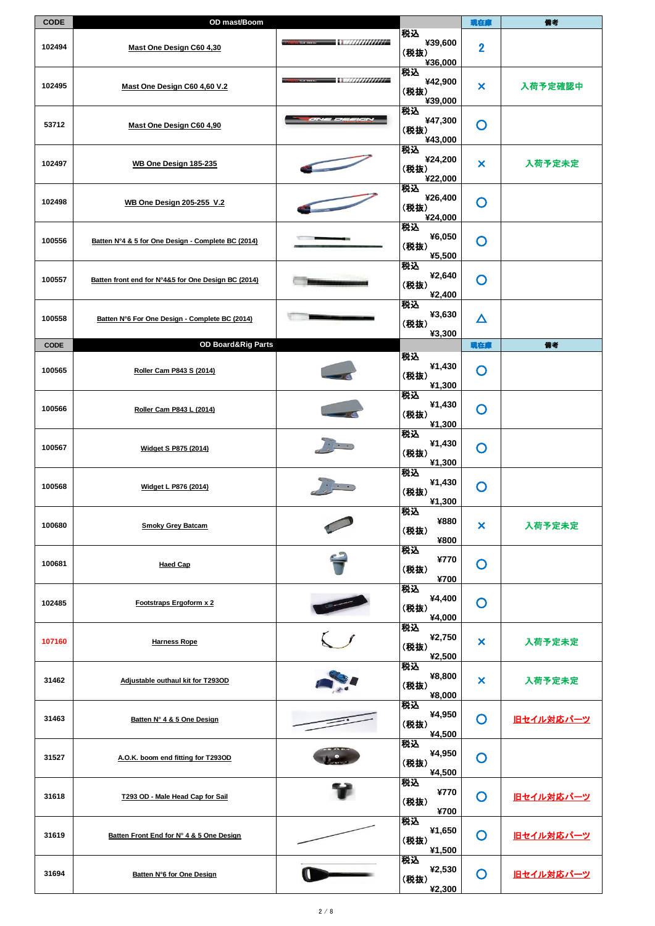| <b>CODE</b> | OD mast/Boom                                        |                                     |                                  | 現在庫                       | 備考        |
|-------------|-----------------------------------------------------|-------------------------------------|----------------------------------|---------------------------|-----------|
| 102494      | Mast One Design C60 4,30                            | $\sim$ . The construction of $\sim$ | 税込<br>¥39,600<br>(税抜)<br>¥36,000 | $\overline{2}$            |           |
| 102495      | Mast One Design C60 4,60 V.2                        | - 112/22/22/22/22/22                | 税込<br>¥42,900<br>(税抜)<br>¥39,000 | ×                         | 入荷予定確認中   |
| 53712       | Mast One Design C60 4,90                            |                                     | 税込<br>¥47,300<br>(税抜)<br>¥43,000 | $\mathbf O$               |           |
| 102497      | WB One Design 185-235                               |                                     | 税込<br>¥24,200<br>(税抜)<br>¥22,000 | ×                         | 入荷予定未定    |
| 102498      | <b>WB One Design 205-255 V.2</b>                    |                                     | 税込<br>¥26,400<br>(税抜)<br>¥24,000 | $\mathbf O$               |           |
| 100556      | Batten N°4 & 5 for One Design - Complete BC (2014)  |                                     | 税込<br>¥6,050<br>(税抜)<br>¥5,500   | $\mathbf O$               |           |
| 100557      | Batten front end for N°4&5 for One Design BC (2014) |                                     | 税込<br>¥2,640<br>(税抜)<br>¥2,400   | $\mathbf O$               |           |
| 100558      | Batten N°6 For One Design - Complete BC (2014)      |                                     | 税込<br>¥3,630<br>(税抜)<br>¥3,300   | $\Delta$                  |           |
| <b>CODE</b> | OD Board&Rig Parts                                  |                                     |                                  | 現在庫                       | 備考        |
| 100565      | Roller Cam P843 S (2014)                            |                                     | 税込<br>¥1,430<br>(税抜)             | O                         |           |
| 100566      | Roller Cam P843 L (2014)                            |                                     | ¥1,300<br>税込<br>¥1,430<br>(税抜)   | $\mathbf O$               |           |
| 100567      | Widget S P875 (2014)                                |                                     | ¥1,300<br>税込<br>¥1,430<br>(税抜)   | $\mathsf{O}$              |           |
| 100568      | Widget L P876 (2014)                                |                                     | ¥1,300<br>税込<br>¥1,430           | $\mathbf O$               |           |
|             |                                                     |                                     | (税抜)<br>¥1,300<br>税込<br>¥880     |                           |           |
| 100680      | <b>Smoky Grey Batcam</b>                            |                                     | (税抜)<br>¥800<br>税込               | $\boldsymbol{\mathsf{x}}$ | 入荷予定未定    |
| 100681      | <b>Haed Cap</b>                                     |                                     | ¥770<br>(税抜)<br>¥700             | O                         |           |
| 102485      | Footstraps Ergoform x 2                             |                                     | 税込<br>¥4,400<br>(税抜)<br>¥4,000   | O                         |           |
| 107160      | <b>Harness Rope</b>                                 |                                     | 税込<br>¥2,750<br>(税抜)<br>¥2,500   | ×                         | 入荷予定未定    |
| 31462       | Adjustable outhaul kit for T293OD                   |                                     | 税込<br>¥8,800<br>(税抜)<br>¥8,000   | ×                         | 入荷予定未定    |
| 31463       | Batten N° 4 & 5 One Design                          |                                     | 税込<br>¥4,950<br>(税抜)<br>¥4,500   | O                         | 旧セイル対応パーツ |
| 31527       | A.O.K. boom end fitting for T293OD                  |                                     | 税込<br>¥4,950<br>(税抜)<br>¥4,500   | $\mathsf{O}$              |           |
| 31618       | T293 OD - Male Head Cap for Sail                    |                                     | 税込<br>¥770<br>(税抜)<br>¥700       | $\mathsf{O}$              | 旧セイル対応パーツ |
| 31619       | Batten Front End for N° 4 & 5 One Design            |                                     | 税込<br>¥1,650<br>(税抜)<br>¥1,500   | O                         | 旧セイル対応パーツ |
| 31694       | Batten N°6 for One Design                           |                                     | 税込<br>¥2,530<br>(税抜)<br>¥2,300   | O                         | 旧セイル対応パーツ |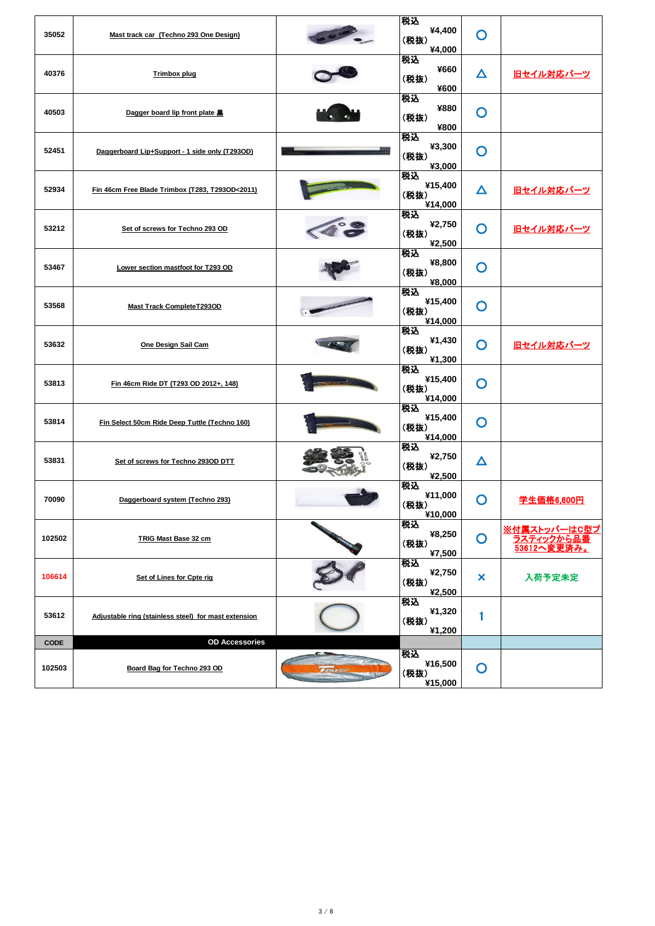| 35052       | Mast track car (Techno 293 One Design)               | 税込<br>¥4,400<br>(税抜)<br>¥4,000   | O           |                                           |
|-------------|------------------------------------------------------|----------------------------------|-------------|-------------------------------------------|
| 40376       | <b>Trimbox plug</b>                                  | 税込<br>¥660<br>(税抜)<br>¥600       | Δ           | <u>旧セイル対応パーツ</u>                          |
| 40503       | Dagger board lip front plate 黑                       | 税込<br>¥880<br>(税抜)<br>¥800       | O           |                                           |
| 52451       | Daggerboard Lip+Support - 1 side only (T293OD)       | 税込<br>¥3,300<br>(税抜)<br>¥3,000   | O           |                                           |
| 52934       | Fin 46cm Free Blade Trimbox (T283, T293OD<2011)      | 税込<br>¥15,400<br>(税抜)<br>¥14,000 | Δ           | <u>旧セイル対応パーツ</u>                          |
| 53212       | Set of screws for Techno 293 OD                      | 税込<br>¥2,750<br>(税抜)<br>¥2,500   | O           | <u>旧セイル対応パーツ</u>                          |
| 53467       | Lower section mastfoot for T293 OD                   | 税込<br>¥8,800<br>(税抜)<br>¥8,000   | O           |                                           |
| 53568       | <b>Mast Track CompleteT293OD</b>                     | 税込<br>¥15,400<br>(税抜)<br>¥14,000 | O           |                                           |
| 53632       | One Design Sail Cam                                  | 税込<br>¥1,430<br>(税抜)<br>¥1,300   | O           | 旧セイル対応パーツ                                 |
| 53813       | Fin 46cm Ride DT (T293 OD 2012+, 148)                | 税込<br>¥15,400<br>(税抜)<br>¥14,000 | O           |                                           |
| 53814       | Fin Select 50cm Ride Deep Tuttle (Techno 160)        | 税込<br>¥15,400<br>(税抜)<br>¥14,000 | O           |                                           |
| 53831       | Set of screws for Techno 293OD DTT                   | 税込<br>¥2,750<br>(税抜)<br>¥2,500   | Δ           |                                           |
| 70090       | Daggerboard system (Techno 293)                      | 税込<br>¥11,000<br>(税抜)<br>¥10,000 | O           | 学生価格6,600円                                |
| 102502      | TRIG Mast Base 32 cm                                 | 税込<br>¥8,250<br>(税抜)<br>¥7,500   | $\mathbf O$ | ※付属ストッパーはC型プ<br>ラスティックから品番<br>53612へ変更済み。 |
| 106614      | Set of Lines for Cpte rig                            | 税込<br>¥2,750<br>(税抜)<br>¥2,500   | ×           | 入荷予定未定                                    |
| 53612       | Adjustable ring (stainless steel) for mast extension | 税込<br>¥1,320<br>(税抜)<br>¥1,200   | 1           |                                           |
| <b>CODE</b> | <b>OD Accessories</b>                                |                                  |             |                                           |
| 102503      | Board Bag for Techno 293 OD                          | 税込<br>¥16,500<br>(税抜)<br>¥15,000 | O           |                                           |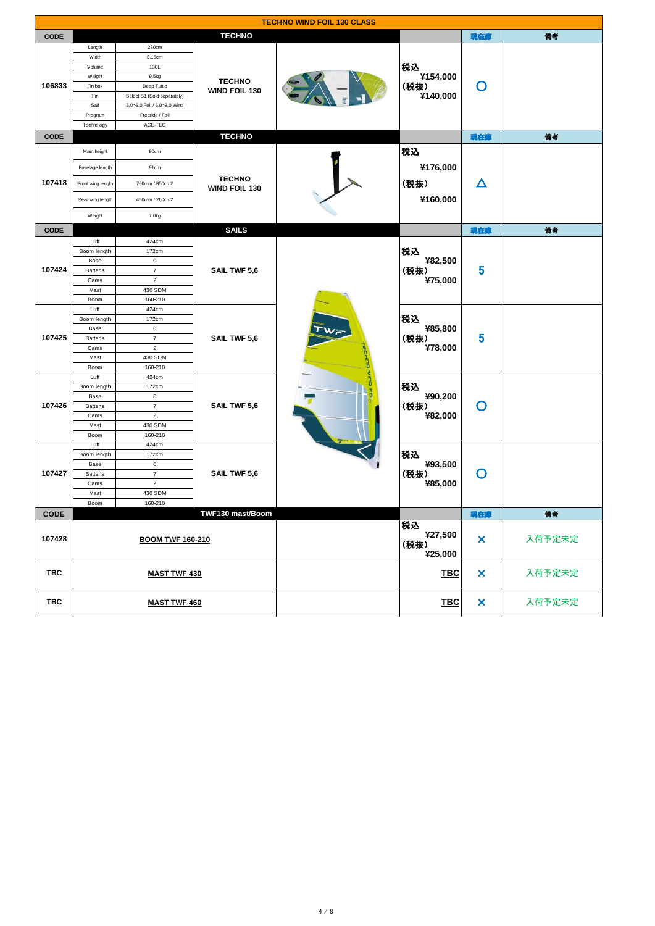|             | <b>TECHNO WIND FOIL 130 CLASS</b> |                             |                                |      |            |                           |        |  |
|-------------|-----------------------------------|-----------------------------|--------------------------------|------|------------|---------------------------|--------|--|
| <b>CODE</b> |                                   |                             | <b>TECHNO</b>                  |      |            | 現在庫                       | 備考     |  |
|             | Length                            | 230cm                       |                                |      |            |                           |        |  |
|             | Width                             | 81.5cm                      |                                |      |            |                           |        |  |
|             | Volume                            | 130L                        |                                |      | 税込         |                           |        |  |
|             | Weight                            | 9.5kg                       |                                |      | ¥154,000   |                           |        |  |
| 106833      | Fin box                           | Deep Tuttle                 | <b>TECHNO</b><br>WIND FOIL 130 |      | (税抜)       | O                         |        |  |
|             | Fin                               | Select S1 (Sold separately) |                                |      | ¥140,000   |                           |        |  |
|             | Sail                              | 5.0>8.0 Foil / 6.0>8.0 Wind |                                |      |            |                           |        |  |
|             | Program                           | Freeride / Foil             |                                |      |            |                           |        |  |
|             | Technology                        | ACE-TEC                     |                                |      |            |                           |        |  |
|             |                                   |                             | <b>TECHNO</b>                  |      |            |                           |        |  |
| <b>CODE</b> |                                   |                             |                                |      |            | 現在庫                       | 備考     |  |
|             | Mast height                       | 90cm                        |                                |      | 税込         |                           |        |  |
|             |                                   |                             |                                |      |            |                           |        |  |
|             | Fuselage length                   | 91cm                        |                                |      | ¥176,000   |                           |        |  |
| 107418      | Front wing length                 | 760mm / 850cm2              | <b>TECHNO</b>                  |      | (税抜)       | $\boldsymbol{\Delta}$     |        |  |
|             |                                   |                             | WIND FOIL 130                  |      |            |                           |        |  |
|             | Rear wing length                  | 450mm / 260cm2              |                                |      | ¥160,000   |                           |        |  |
|             |                                   |                             |                                |      |            |                           |        |  |
|             | Weight                            | 7.0kg                       |                                |      |            |                           |        |  |
| <b>CODE</b> |                                   |                             | <b>SAILS</b>                   |      |            | 現在庫                       | 備考     |  |
|             | Luff                              | 424cm                       |                                |      |            |                           |        |  |
|             | Boom length                       | 172cm                       | SAIL TWF 5,6                   |      | 税込         |                           |        |  |
|             | Base                              | $\pmb{0}$                   |                                |      | ¥82,500    |                           |        |  |
| 107424      | <b>Battens</b>                    | $\boldsymbol{7}$            |                                |      | (税抜)       | 5                         |        |  |
|             | Cams                              | $\,2\,$                     |                                |      | ¥75,000    |                           |        |  |
|             | Mast                              | 430 SDM                     |                                |      |            |                           |        |  |
|             | Boom                              | 160-210                     |                                |      |            |                           |        |  |
|             | Luff                              | 424cm                       | SAIL TWF 5,6                   |      |            |                           |        |  |
|             | Boom length                       | 172cm                       |                                |      | 税込         |                           |        |  |
|             | Base                              | $\mathsf 0$                 |                                |      | ¥85,800    |                           |        |  |
| 107425      | <b>Battens</b>                    | $\boldsymbol{7}$            |                                | (税抜) | 5          |                           |        |  |
|             | Cams                              | $\sqrt{2}$                  |                                |      | ¥78,000    |                           |        |  |
|             | Mast                              | 430 SDM                     |                                |      |            |                           |        |  |
|             | Boom                              | 160-210                     |                                |      |            |                           |        |  |
|             | Luff                              | 424cm                       |                                |      |            |                           |        |  |
|             | Boom length                       | 172cm                       |                                |      | 税込         | O                         |        |  |
|             | Base                              | $\pmb{0}$                   |                                |      | ¥90,200    |                           |        |  |
| 107426      | <b>Battens</b>                    | $\overline{7}$              | SAIL TWF 5,6                   |      | (税抜)       |                           |        |  |
|             | Cams                              | $\sqrt{2}$                  |                                |      | ¥82,000    |                           |        |  |
|             | Mast                              | 430 SDM                     |                                |      |            |                           |        |  |
|             | Boom                              | 160-210                     |                                |      |            |                           |        |  |
|             | Luff                              | 424cm                       |                                |      |            |                           |        |  |
|             | Boom length                       | 172cm                       |                                |      | 税込         |                           |        |  |
|             | Base                              | $\mathbf 0$                 |                                |      | ¥93,500    |                           |        |  |
| 107427      | <b>Battens</b>                    | $\boldsymbol{7}$            | SAIL TWF 5,6                   |      | (税抜)       | O                         |        |  |
|             | Cams                              | $\sqrt{2}$                  |                                |      | ¥85,000    |                           |        |  |
|             | Mast                              | 430 SDM                     |                                |      |            |                           |        |  |
|             | Boom                              | 160-210                     |                                |      |            |                           |        |  |
| <b>CODE</b> |                                   |                             | TWF130 mast/Boom               |      |            | 現在庫                       | 備考     |  |
|             |                                   |                             |                                |      | 税込         |                           |        |  |
|             |                                   |                             |                                |      | ¥27,500    |                           |        |  |
| 107428      |                                   | <b>BOOM TWF 160-210</b>     |                                |      | (税抜)       | $\pmb{\times}$            | 入荷予定未定 |  |
|             |                                   |                             |                                |      | ¥25,000    |                           |        |  |
|             |                                   |                             |                                |      |            |                           |        |  |
| <b>TBC</b>  |                                   | <b>MAST TWF 430</b>         |                                |      | <b>TBC</b> | $\boldsymbol{\mathsf{x}}$ | 入荷予定未定 |  |
|             |                                   |                             |                                |      |            |                           |        |  |
|             |                                   |                             |                                |      |            |                           |        |  |
| TBC         |                                   | <b>MAST TWF 460</b>         |                                |      | <b>TBC</b> | $\pmb{\times}$            | 入荷予定未定 |  |
|             |                                   |                             |                                |      |            |                           |        |  |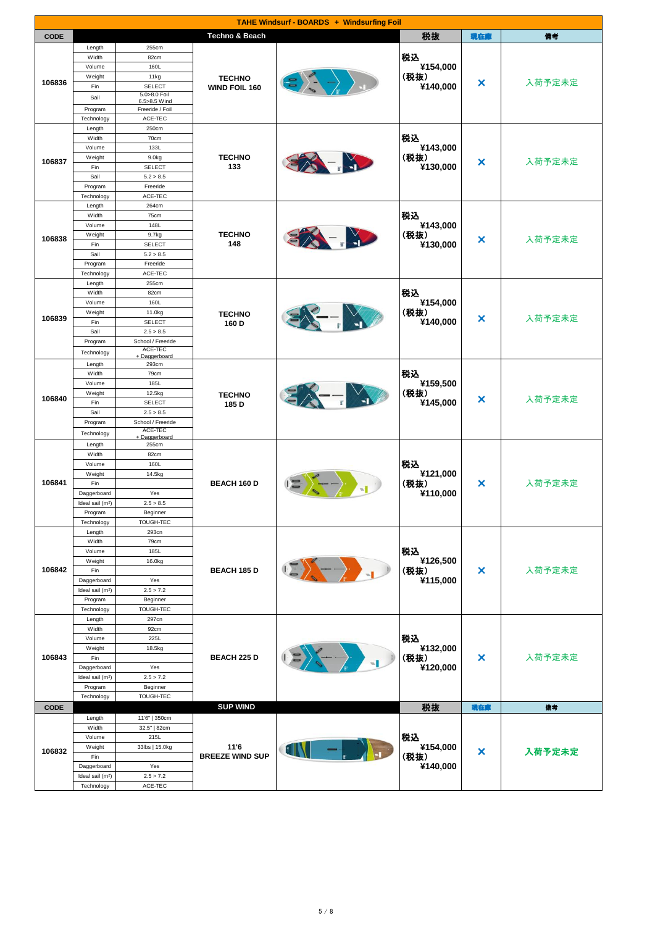| <b>TAHE Windsurf - BOARDS + Windsurfing Foil</b> |                                             |                              |                           |                                                                   |                  |                       |        |
|--------------------------------------------------|---------------------------------------------|------------------------------|---------------------------|-------------------------------------------------------------------|------------------|-----------------------|--------|
| <b>CODE</b>                                      |                                             |                              | <b>Techno &amp; Beach</b> |                                                                   | 税抜               | 現在庫                   | 備考     |
|                                                  | Length                                      | 255cm                        |                           |                                                                   |                  |                       |        |
|                                                  | Width                                       | 82cm                         |                           |                                                                   | 税込               |                       |        |
|                                                  | Volume                                      | 160L                         |                           |                                                                   | ¥154,000         |                       |        |
| 106836                                           | Weight                                      | 11kg                         | <b>TECHNO</b>             |                                                                   | (税抜)             | ×                     | 入荷予定未定 |
|                                                  | Fin                                         | <b>SELECT</b>                | WIND FOIL 160             |                                                                   | ¥140,000         |                       |        |
|                                                  | Sail                                        | 5.0>8.0 Foil<br>6.5>8.5 Wind |                           |                                                                   |                  |                       |        |
|                                                  | Program                                     | Freeride / Foil              |                           |                                                                   |                  |                       |        |
|                                                  | Technology                                  | ACE-TEC                      |                           |                                                                   |                  |                       |        |
|                                                  | Length                                      | 250cm                        |                           |                                                                   |                  |                       |        |
|                                                  | Width<br>Volume                             | 70cm<br>133L                 |                           |                                                                   | 税込<br>¥143,000   |                       |        |
|                                                  | Weight                                      | 9.0kg                        | <b>TECHNO</b>             |                                                                   | (税抜)             |                       |        |
| 106837                                           | Fin                                         | <b>SELECT</b>                | 133                       | $\blacksquare$                                                    | ¥130,000         | ×                     | 入荷予定未定 |
|                                                  | Sail                                        | 5.2 > 8.5                    |                           |                                                                   |                  |                       |        |
|                                                  | Program                                     | Freeride                     |                           |                                                                   |                  |                       |        |
|                                                  | Technology                                  | ACE-TEC                      |                           |                                                                   |                  |                       |        |
|                                                  | Length                                      | 264cm                        |                           |                                                                   |                  |                       |        |
|                                                  | Width                                       | 75cm                         |                           |                                                                   | 税込               |                       |        |
|                                                  | Volume                                      | 148L<br>9.7kg                | <b>TECHNO</b>             |                                                                   | ¥143,000<br>(税抜) |                       |        |
| 106838                                           | Weight<br>Fin                               | <b>SELECT</b>                | 148                       |                                                                   | ¥130,000         | ×                     | 入荷予定未定 |
|                                                  | Sail                                        | 5.2 > 8.5                    |                           |                                                                   |                  |                       |        |
|                                                  | Program                                     | Freeride                     |                           |                                                                   |                  |                       |        |
|                                                  | Technology                                  | ACE-TEC                      |                           |                                                                   |                  |                       |        |
|                                                  | Length                                      | 255cm                        |                           |                                                                   |                  |                       |        |
|                                                  | Width                                       | 82cm                         |                           |                                                                   | 税込               |                       |        |
|                                                  | Volume                                      | 160L                         |                           |                                                                   | ¥154,000         |                       | 入荷予定未定 |
| 106839                                           | Weight<br>Fin                               | 11.0kg<br><b>SELECT</b>      | <b>TECHNO</b>             |                                                                   | (税抜)<br>¥140,000 | ×                     |        |
|                                                  | Sail                                        | 2.5 > 8.5                    | 160 D                     |                                                                   |                  |                       |        |
|                                                  | Program                                     | School / Freeride            |                           |                                                                   |                  |                       |        |
|                                                  | Technology                                  | ACE-TEC                      |                           |                                                                   |                  |                       |        |
|                                                  | Length                                      | + Daggerboard<br>293cm       |                           |                                                                   |                  |                       |        |
|                                                  | Width                                       | 79cm                         |                           |                                                                   | 税込               |                       |        |
|                                                  | Volume                                      | 185L                         |                           |                                                                   | ¥159,500         |                       |        |
| 106840                                           | Weight                                      | 12.5kg                       | <b>TECHNO</b>             |                                                                   | (税抜)             | ×                     | 入荷予定未定 |
|                                                  | Fin                                         | <b>SELECT</b>                | 185 D                     |                                                                   | ¥145,000         |                       |        |
|                                                  | Sail                                        | 2.5 > 8.5                    |                           |                                                                   |                  |                       |        |
|                                                  | Program                                     | School / Freeride<br>ACE-TEC |                           |                                                                   |                  |                       |        |
|                                                  | Technology                                  | + Daggerboard                |                           |                                                                   |                  |                       |        |
|                                                  | Length<br>Width                             | 255cm<br>82cm                |                           |                                                                   |                  |                       |        |
|                                                  | Volume                                      | 160L                         |                           | 税込<br>¥121,000<br>(税抜)<br>¥110,000                                |                  |                       |        |
|                                                  | Weight                                      | 14.5kg                       | <b>BEACH 160 D</b>        |                                                                   |                  |                       |        |
| 106841                                           | Fin                                         |                              |                           |                                                                   | ×                | 入荷予定未定                |        |
|                                                  | Daggerboard                                 | Yes                          |                           |                                                                   |                  |                       |        |
|                                                  | Ideal sail (m <sup>2</sup> )                | 2.5 > 8.5                    |                           |                                                                   |                  |                       |        |
|                                                  | Program                                     | Beginner                     |                           |                                                                   |                  |                       |        |
|                                                  | Technology<br>Length                        | TOUGH-TEC<br>293cn           |                           |                                                                   |                  |                       |        |
|                                                  | Width                                       | 79cm                         |                           |                                                                   |                  |                       |        |
|                                                  | Volume                                      | 185L                         |                           |                                                                   | 税込               |                       |        |
|                                                  | Weight                                      | 16.0kg                       |                           |                                                                   | ¥126,500         |                       |        |
| 106842                                           | Fin                                         |                              | <b>BEACH 185 D</b>        | $\mathbb{Z} \left\{ \begin{array}{c} 1 \\ 1 \end{array} \right\}$ | (税抜)             | $\boldsymbol{\times}$ | 入荷予定未定 |
|                                                  | Daggerboard                                 | Yes                          |                           |                                                                   | ¥115,000         |                       |        |
|                                                  | Ideal sail (m <sup>2</sup> )                | 2.5 > 7.2                    |                           |                                                                   |                  |                       |        |
|                                                  | Program<br>Technology                       | Beginner<br>TOUGH-TEC        |                           |                                                                   |                  |                       |        |
|                                                  | Length                                      | 297cn                        |                           |                                                                   |                  |                       |        |
|                                                  | Width                                       | 92cm                         |                           |                                                                   |                  |                       |        |
|                                                  | Volume                                      | 225L                         |                           |                                                                   | 税込               |                       |        |
|                                                  | Weight                                      | 18.5kg                       |                           |                                                                   | ¥132,000         |                       |        |
| 106843                                           | Fin                                         |                              | <b>BEACH 225 D</b>        | $\rightarrow$                                                     | (税抜)             | $\boldsymbol{\times}$ | 入荷予定未定 |
|                                                  | Daggerboard                                 | Yes<br>2.5 > 7.2             |                           |                                                                   | ¥120,000         |                       |        |
|                                                  | Ideal sail (m <sup>2</sup> )<br>Program     | Beginner                     |                           |                                                                   |                  |                       |        |
|                                                  | Technology                                  | TOUGH-TEC                    |                           |                                                                   |                  |                       |        |
| <b>CODE</b>                                      |                                             |                              | <b>SUP WIND</b>           |                                                                   | 税抜               | 現在庫                   | 備考     |
|                                                  | Length                                      | 11'6"   350cm                |                           |                                                                   |                  |                       |        |
|                                                  | Width                                       | 32.5"   82cm                 |                           |                                                                   |                  |                       |        |
|                                                  | Volume                                      | 215L                         |                           |                                                                   | 税込               |                       |        |
| 106832                                           | Weight                                      | 33lbs   15.0kg               | 11'6                      | EINI                                                              | ¥154,000         | ×                     | 入荷予定未定 |
|                                                  | Fin                                         |                              | <b>BREEZE WIND SUP</b>    |                                                                   | (税抜)             |                       |        |
|                                                  | Daggerboard<br>Ideal sail (m <sup>2</sup> ) | Yes<br>2.5 > 7.2             |                           |                                                                   | ¥140,000         |                       |        |
|                                                  |                                             |                              |                           |                                                                   |                  |                       |        |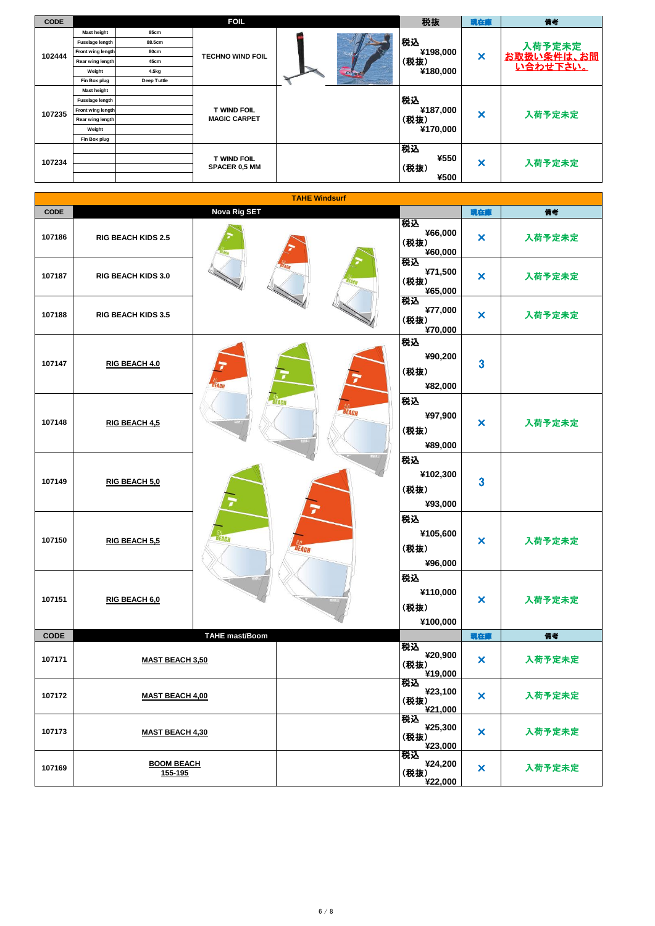| <b>CODE</b> |                    |             | <b>FOIL</b>                               |  |          | 税抜                        | 現在庫                       | 備考                          |
|-------------|--------------------|-------------|-------------------------------------------|--|----------|---------------------------|---------------------------|-----------------------------|
|             | <b>Mast height</b> | 85cm        |                                           |  |          |                           |                           |                             |
|             | Fuselage length    | 88.5cm      |                                           |  |          | 税込                        |                           |                             |
| 102444      | Front wing length  | 80cm        | <b>TECHNO WIND FOIL</b>                   |  |          | ¥198,000                  | $\boldsymbol{\mathsf{x}}$ | 入荷予定未定<br><u>お取扱い条件は、お問</u> |
|             | Rear wing length   | 45cm        |                                           |  |          | (税抜)                      |                           | い合わせ下さい。                    |
|             | Weight             | 4.5kg       |                                           |  |          | ¥180,000                  |                           |                             |
|             | Fin Box plug       | Deep Tuttle |                                           |  |          |                           |                           |                             |
|             | <b>Mast height</b> |             |                                           |  |          |                           |                           |                             |
|             | Fuselage length    |             |                                           |  |          | 税込                        |                           |                             |
| 107235      | Front wing length  |             | <b>T WIND FOIL</b><br><b>MAGIC CARPET</b> |  | ¥187,000 | $\boldsymbol{\mathsf{x}}$ | 入荷予定未定                    |                             |
|             | Rear wing length   |             |                                           |  |          | (税抜)<br>¥170,000          |                           |                             |
|             | Weight             |             |                                           |  |          |                           |                           |                             |
|             | Fin Box plug       |             |                                           |  |          |                           |                           |                             |
| 107234      |                    |             |                                           |  |          | 税込                        |                           |                             |
|             |                    |             | T WIND FOIL                               |  |          | ¥550                      | $\boldsymbol{\mathsf{x}}$ | 入荷予定未定                      |
|             |                    |             | <b>SPACER 0.5 MM</b>                      |  |          | (税抜)                      |                           |                             |
|             |                    |             |                                           |  |          | ¥500                      |                           |                             |

| <b>TAHE Windsurf</b> |                              |                       |                                           |                                    |                           |        |  |
|----------------------|------------------------------|-----------------------|-------------------------------------------|------------------------------------|---------------------------|--------|--|
| <b>CODE</b>          |                              | <b>Nova Rig SET</b>   |                                           |                                    | 現在庫                       | 備考     |  |
| 107186               | <b>RIG BEACH KIDS 2.5</b>    |                       |                                           | 税込<br>¥66,000<br>(税抜)<br>¥60,000   | $\boldsymbol{\mathsf{x}}$ | 入荷予定未定 |  |
| 107187               | RIG BEACH KIDS 3.0           |                       | 税込<br>(税抜)                                | ¥71,500<br>¥65,000                 | ×                         | 入荷予定未定 |  |
| 107188               | <b>RIG BEACH KIDS 3.5</b>    |                       |                                           | 税込<br>¥77,000<br>(税抜)<br>¥70,000   | ×                         | 入荷予定未定 |  |
| 107147               | RIG BEACH 4.0                | <b>BEACH</b>          |                                           | 税込<br>¥90,200<br>(税抜)<br>¥82,000   | $\overline{\mathbf{3}}$   |        |  |
| 107148               | RIG BEACH 4,5                |                       | <b>BEACH</b><br><b><i>SO</i></b><br>ÚEACH | 税込<br>¥97,900<br>(税抜)<br>¥89,000   | ×                         | 入荷予定未定 |  |
| 107149               | RIG BEACH 5.0                |                       |                                           | 税込<br>¥102,300<br>(税抜)<br>¥93,000  | $\overline{\mathbf{3}}$   |        |  |
| 107150               | RIG BEACH 5.5                | <b>BEACH</b>          | BEACH                                     | 税込<br>¥105,600<br>(税抜)<br>¥96,000  | ×                         | 入荷予定未定 |  |
| 107151               | RIG BEACH 6,0                |                       |                                           | 税込<br>¥110,000<br>(税抜)<br>¥100,000 | ×                         | 入荷予定未定 |  |
| <b>CODE</b>          |                              | <b>TAHE mast/Boom</b> |                                           |                                    | 現在庫                       | 備考     |  |
| 107171               | <b>MAST BEACH 3,50</b>       |                       |                                           | 税込<br>¥20,900<br>(税抜)<br>¥19,000   | $\boldsymbol{\mathsf{x}}$ | 入荷予定未定 |  |
| 107172               | <b>MAST BEACH 4,00</b>       |                       |                                           | 税込<br>¥23,100<br>(税抜)<br>¥21,000   | $\boldsymbol{\mathsf{x}}$ | 入荷予定未定 |  |
| 107173               | <b>MAST BEACH 4,30</b>       |                       |                                           | 税込<br>¥25,300<br>(税抜)<br>¥23,000   | $\boldsymbol{\mathsf{x}}$ | 入荷予定未定 |  |
| 107169               | <b>BOOM BEACH</b><br>155-195 |                       |                                           | 税込<br>¥24,200<br>(税抜)<br>¥22,000   | $\boldsymbol{\mathsf{x}}$ | 入荷予定未定 |  |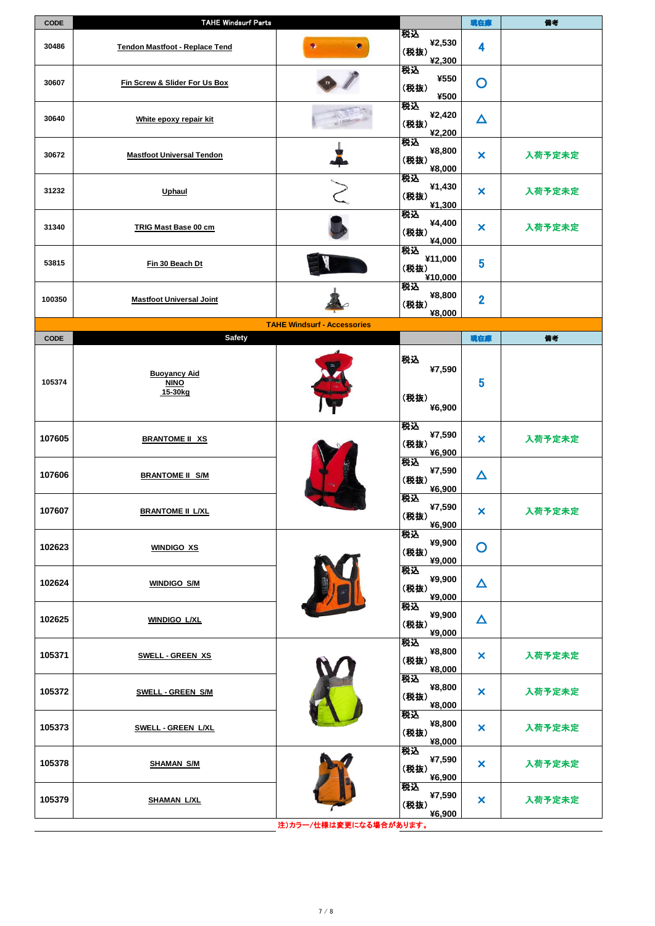| <b>CODE</b> | <b>TAHE Windsurf Parts</b>                    |                                    |                                  | 現在庫                       | 備考     |
|-------------|-----------------------------------------------|------------------------------------|----------------------------------|---------------------------|--------|
| 30486       | <b>Tendon Mastfoot - Replace Tend</b>         | ۰                                  | 税込<br>¥2,530<br>(税抜)<br>¥2,300   | 4                         |        |
| 30607       | Fin Screw & Slider For Us Box                 |                                    | 税込<br>¥550<br>(税抜)<br>¥500       | O                         |        |
| 30640       | White epoxy repair kit                        |                                    | 税込<br>¥2,420<br>(税抜)<br>¥2,200   | $\Delta$                  |        |
| 30672       | <b>Mastfoot Universal Tendon</b>              |                                    | 税込<br>¥8,800<br>(税抜)<br>¥8,000   | $\boldsymbol{\mathsf{x}}$ | 入荷予定未定 |
| 31232       | <b>Uphaul</b>                                 |                                    | 税込<br>¥1,430<br>(税抜)<br>¥1,300   | ×                         | 入荷予定未定 |
| 31340       | <b>TRIG Mast Base 00 cm</b>                   |                                    | 税込<br>¥4,400<br>(税抜)<br>¥4,000   | ×                         | 入荷予定未定 |
| 53815       | Fin 30 Beach Dt                               |                                    | 税込<br>¥11,000<br>(税抜)<br>¥10,000 | 5                         |        |
| 100350      | <b>Mastfoot Universal Joint</b>               |                                    | 税込<br>¥8,800<br>(税抜)<br>¥8,000   | $\overline{2}$            |        |
|             |                                               | <b>TAHE Windsurf - Accessories</b> |                                  |                           |        |
| <b>CODE</b> | <b>Safety</b>                                 |                                    |                                  | 現在庫                       | 備考     |
|             |                                               |                                    |                                  |                           |        |
| 105374      | <b>Buoyancy Aid</b><br><b>NINO</b><br>15-30kg |                                    | 税込<br>¥7,590<br>(税抜)<br>¥6,900   | 5                         |        |
| 107605      | <b>BRANTOME II XS</b>                         |                                    | 税込<br>¥7,590<br>(税抜)<br>¥6,900   | ×                         | 入荷予定未定 |
| 107606      | <b>BRANTOME II S/M</b>                        |                                    | 税込<br>¥7,590<br>(税抜)<br>¥6,900   | $\boldsymbol{\Delta}$     |        |
| 107607      | <b>BRANTOME II L/XL</b>                       |                                    | 税込<br>¥7,590<br>(税抜)<br>¥6,900   | ×                         | 入荷予定未定 |
| 102623      | <b>WINDIGO XS</b>                             |                                    | 税込<br>¥9,900<br>(税抜)<br>¥9,000   | $\mathbf O$               |        |
| 102624      | <b>WINDIGO S/M</b>                            |                                    | 税込<br>¥9,900<br>(税抜)<br>¥9,000   | $\Delta$                  |        |
| 102625      | <b>WINDIGO L/XL</b>                           |                                    | 税込<br>¥9,900<br>(税抜)<br>¥9,000   | $\boldsymbol{\Delta}$     |        |
| 105371      | <b>SWELL - GREEN XS</b>                       |                                    | 税込<br>¥8,800<br>(税抜)<br>¥8,000   | ×                         | 入荷予定未定 |
| 105372      | <b>SWELL - GREEN S/M</b>                      |                                    | 税込<br>¥8,800<br>(税抜)<br>¥8,000   | ×                         | 入荷予定未定 |
| 105373      | <b>SWELL - GREEN L/XL</b>                     |                                    | 税込<br>¥8,800<br>(税抜)<br>¥8,000   | ×                         | 入荷予定未定 |
| 105378      | <b>SHAMAN S/M</b>                             |                                    | 税込<br>¥7,590<br>(税抜)<br>¥6,900   | ×                         | 入荷予定未定 |
| 105379      | <b>SHAMAN L/XL</b>                            |                                    | 税込<br>¥7,590<br>(税抜)<br>¥6,900   | ×                         | 入荷予定未定 |
|             |                                               | 注)カラー/仕様は変更になる場合があります。             |                                  |                           |        |